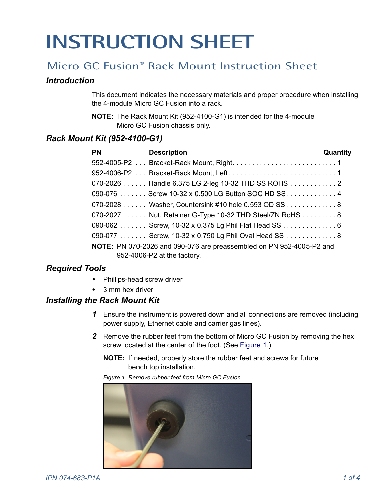# **INSTRUCTION SHEET**

# Micro GC Fusion® Rack Mount Instruction Sheet

#### *Introduction*

This document indicates the necessary materials and proper procedure when installing the 4-module Micro GC Fusion into a rack.

**NOTE:** The Rack Mount Kit (952-4100-G1) is intended for the 4-module Micro GC Fusion chassis only.

## *Rack Mount Kit (952-4100-G1)*

| <b>PN</b> | <b>Description</b>                                                          | Quantity |
|-----------|-----------------------------------------------------------------------------|----------|
|           |                                                                             |          |
|           |                                                                             |          |
|           | 070-2026  Handle 6.375 LG 2-leg 10-32 THD SS ROHS  2                        |          |
|           | 090-076 Screw 10-32 x 0.500 LG Button SOC HD SS 4                           |          |
|           | 070-2028  Washer, Countersink #10 hole 0.593 OD SS  8                       |          |
|           | 070-2027  Nut, Retainer G-Type 10-32 THD Steel/ZN RoHS  8                   |          |
|           | 090-062  Screw, 10-32 x 0.375 Lg Phil Flat Head SS  6                       |          |
|           | 090-077 Screw, 10-32 x 0.750 Lg Phil Oval Head SS 8                         |          |
|           | <b>NOTE:</b> PN 070-2026 and 090-076 are preassembled on PN 952-4005-P2 and |          |
|           | 952-4006-P2 at the factory.                                                 |          |

### *Required Tools*

- Phillips-head screw driver
- 3 mm hex driver

#### *Installing the Rack Mount Kit*

- *1* Ensure the instrument is powered down and all connections are removed (including power supply, Ethernet cable and carrier gas lines).
- *2* Remove the rubber feet from the bottom of Micro GC Fusion by removing the hex screw located at the center of the foot. (See [Figure 1](#page-0-0).)
	- **NOTE:** If needed, properly store the rubber feet and screws for future bench top installation.

<span id="page-0-0"></span>*Figure 1 Remove rubber feet from Micro GC Fusion*

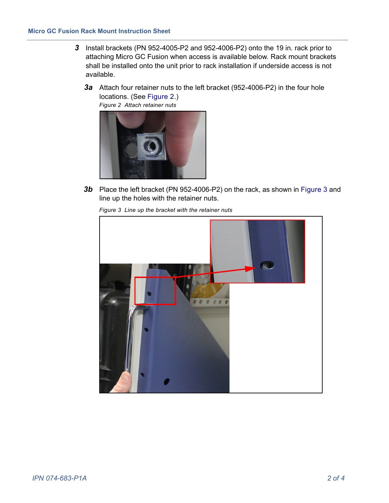- <span id="page-1-2"></span>*3* Install brackets (PN 952-4005-P2 and 952-4006-P2) onto the 19 in. rack prior to attaching Micro GC Fusion when access is available below. Rack mount brackets shall be installed onto the unit prior to rack installation if underside access is not available.
	- *3a* Attach four retainer nuts to the left bracket (952-4006-P2) in the four hole locations. (See [Figure 2](#page-1-0).)

<span id="page-1-0"></span>

<span id="page-1-1"></span>*3b* Place the left bracket (PN 952-4006-P2) on the rack, as shown in [Figure 3](#page-1-1) and line up the holes with the retainer nuts.

*Figure 3 Line up the bracket with the retainer nuts*

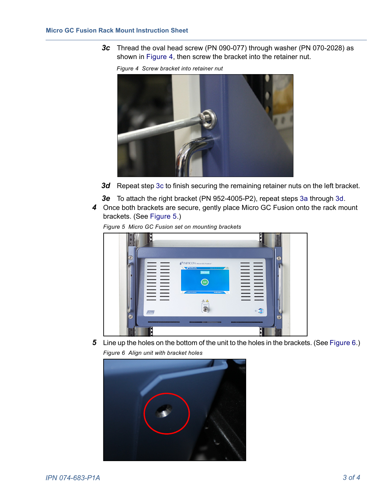<span id="page-2-1"></span><span id="page-2-0"></span>*3c* Thread the oval head screw (PN 090-077) through washer (PN 070-2028) as shown in [Figure 4,](#page-2-0) then screw the bracket into the retainer nut.

*Figure 4 Screw bracket into retainer nut*



- 3d Repeat step [3c](#page-2-1) to finish securing the remaining retainer nuts on the left bracket.
- *3e* To attach the right bracket (PN 952-4005-P2), repeat steps [3a](#page-1-2) through [3d.](#page-2-2)
- <span id="page-2-2"></span>*4* Once both brackets are secure, gently place Micro GC Fusion onto the rack mount brackets. (See [Figure 5](#page-2-3).)

<span id="page-2-3"></span>*Figure 5 Micro GC Fusion set on mounting brackets*



<span id="page-2-4"></span>**5** Line up the holes on the bottom of the unit to the holes in the brackets. (See [Figure 6](#page-2-4).) *Figure 6 Align unit with bracket holes*